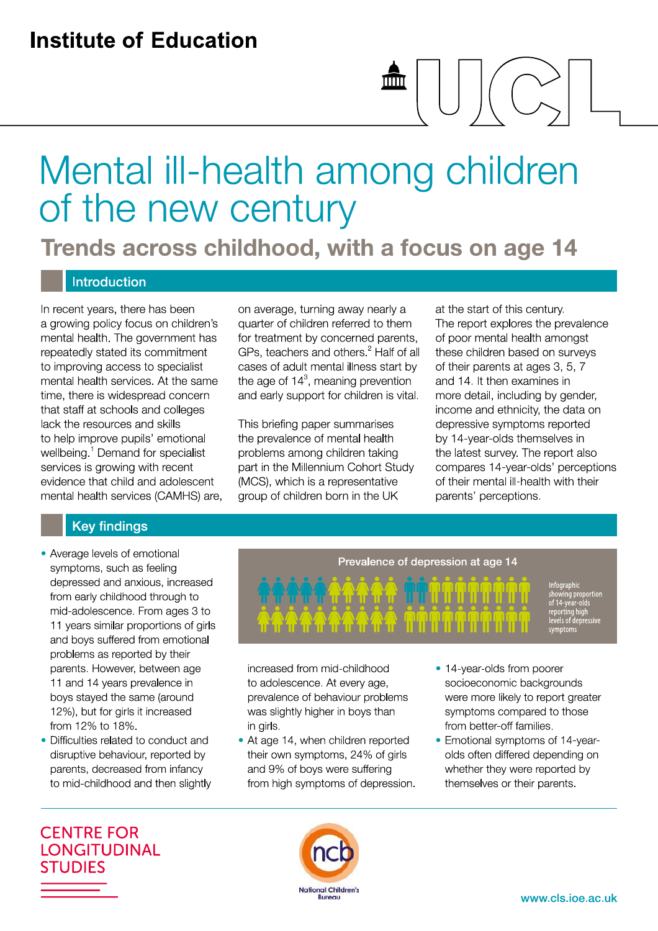## **Institute of Education**

# Mental ill-health among children of the new century

 $\overline{\mathsf{min}}$ 

Trends across childhood, with a focus on age 14

#### **Introduction**

In recent years, there has been a growing policy focus on children's mental health. The government has repeatedly stated its commitment to improving access to specialist mental health services. At the same time, there is widespread concern that staff at schools and colleges lack the resources and skills to help improve pupils' emotional wellbeing.<sup>1</sup> Demand for specialist services is growing with recent evidence that child and adolescent mental health services (CAMHS) are, on average, turning away nearly a quarter of children referred to them for treatment by concerned parents, GPs, teachers and others.<sup>2</sup> Half of all cases of adult mental illness start by the age of  $14<sup>3</sup>$ , meaning prevention and early support for children is vital.

This briefing paper summarises the prevalence of mental health problems among children taking part in the Millennium Cohort Study (MCS), which is a representative group of children born in the UK

at the start of this century. The report explores the prevalence of poor mental health amongst these children based on surveys of their parents at ages 3, 5, 7 and 14. It then examines in more detail, including by gender, income and ethnicity, the data on depressive symptoms reported by 14-year-olds themselves in the latest survey. The report also compares 14-year-olds' perceptions of their mental ill-health with their parents' perceptions.

#### **Key findings**

- Average levels of emotional symptoms, such as feeling depressed and anxious, increased from early childhood through to mid-adolescence. From ages 3 to 11 years similar proportions of girls and boys suffered from emotional problems as reported by their parents. However, between age 11 and 14 years prevalence in boys stayed the same (around 12%), but for girls it increased from 12% to 18%.
- Difficulties related to conduct and disruptive behaviour, reported by parents, decreased from infancy to mid-childhood and then slightly



increased from mid-childhood to adolescence. At every age, prevalence of behaviour problems was slightly higher in boys than in girls.

- At age 14, when children reported their own symptoms, 24% of girls and 9% of boys were suffering from high symptoms of depression.
- 14-year-olds from poorer socioeconomic backgrounds were more likely to report greater symptoms compared to those from better-off families.
- Emotional symptoms of 14-yearolds often differed depending on whether they were reported by themselves or their parents.

**CENTRE FOR LONGITUDINAL STUDIES** 

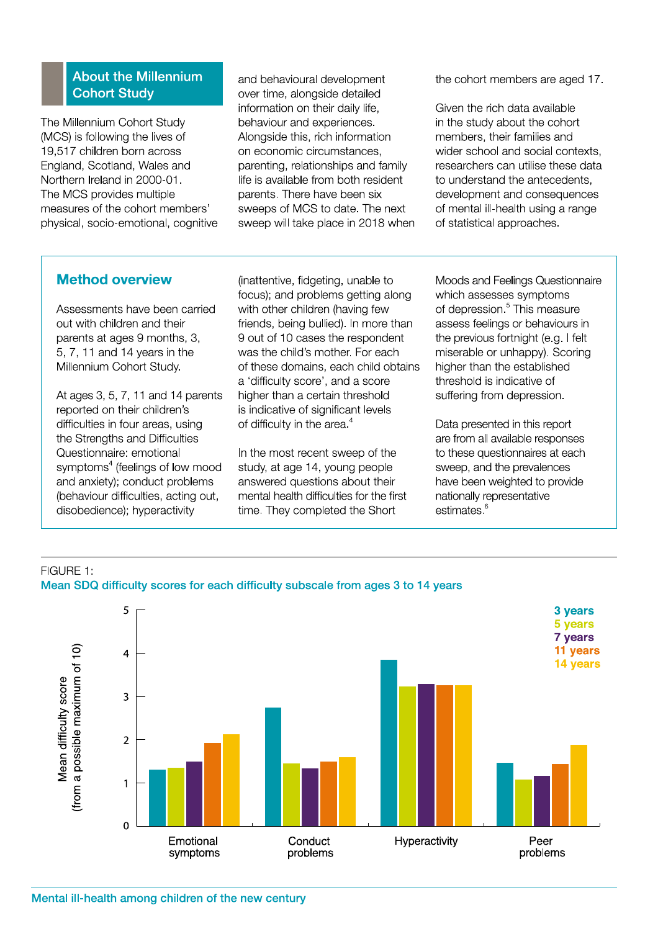#### **About the Millennium Cohort Study**

The Millennium Cohort Study (MCS) is following the lives of 19,517 children born across England, Scotland, Wales and Northern Ireland in 2000-01. The MCS provides multiple measures of the cohort members' physical, socio-emotional, cognitive and behavioural development over time, alongside detailed information on their daily life, behaviour and experiences. Alonaside this, rich information on economic circumstances, parenting, relationships and family life is available from both resident parents. There have been six sweeps of MCS to date. The next sweep will take place in 2018 when the cohort members are aged 17.

Given the rich data available in the study about the cohort members, their families and wider school and social contexts. researchers can utilise these data to understand the antecedents. development and consequences of mental ill-health using a range of statistical approaches.

#### **Method overview**

Assessments have been carried out with children and their parents at ages 9 months, 3, 5, 7, 11 and 14 years in the Millennium Cohort Study.

At ages 3, 5, 7, 11 and 14 parents reported on their children's difficulties in four areas, using the Strengths and Difficulties Questionnaire: emotional symptoms<sup>4</sup> (feelings of low mood and anxiety); conduct problems (behaviour difficulties, acting out, disobedience); hyperactivity

(inattentive, fidgeting, unable to focus); and problems getting along with other children (having few friends, being bullied). In more than 9 out of 10 cases the respondent was the child's mother. For each of these domains, each child obtains a 'difficulty score', and a score higher than a certain threshold is indicative of significant levels of difficulty in the area.<sup>4</sup>

In the most recent sweep of the study, at age 14, young people answered questions about their mental health difficulties for the first time. They completed the Short

Moods and Feelings Questionnaire which assesses symptoms of depression.<sup>5</sup> This measure assess feelings or behaviours in the previous fortnight (e.g. I felt miserable or unhappy). Scoring higher than the established threshold is indicative of suffering from depression.

Data presented in this report are from all available responses to these questionnaires at each sweep, and the prevalences have been weighted to provide nationally representative estimates.<sup>6</sup>



# FIGURE 1: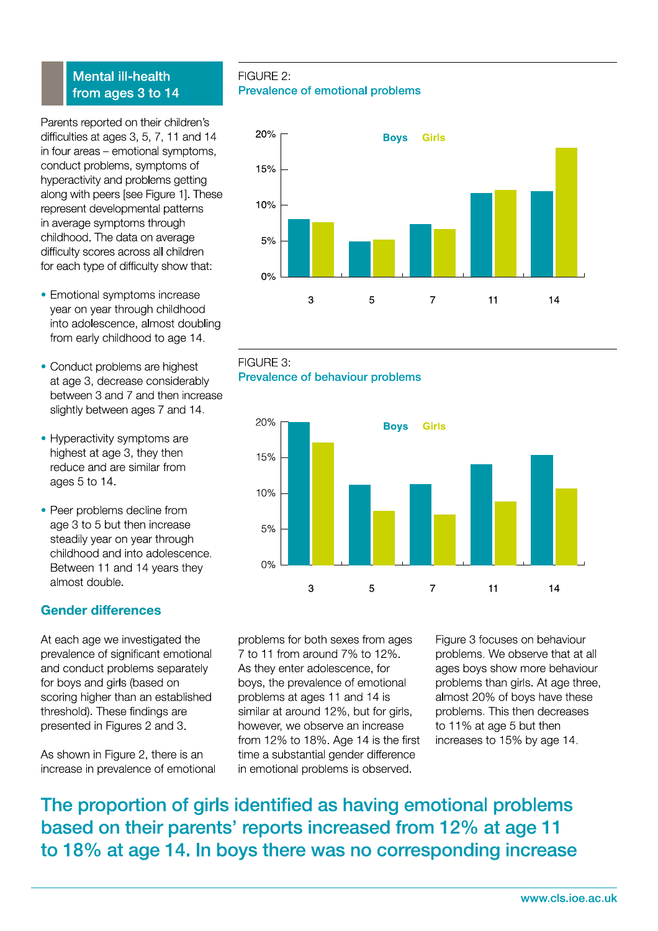#### **Mental ill-health** from ages 3 to 14

Parents reported on their children's difficulties at ages 3, 5, 7, 11 and 14 in four areas - emotional symptoms, conduct problems, symptoms of hyperactivity and problems getting along with peers [see Figure 1]. These represent developmental patterns in average symptoms through childhood. The data on average difficulty scores across all children for each type of difficulty show that:

- Emotional symptoms increase year on year through childhood into adolescence, almost doubling from early childhood to age 14.
- Conduct problems are highest at age 3, decrease considerably between 3 and 7 and then increase slightly between ages 7 and 14.
- Hyperactivity symptoms are highest at age 3, they then reduce and are similar from ages 5 to 14.
- Peer problems decline from age 3 to 5 but then increase steadily year on year through childhood and into adolescence. Between 11 and 14 years they almost double.

### **Gender differences**

At each age we investigated the prevalence of significant emotional and conduct problems separately for boys and girls (based on scoring higher than an established threshold). These findings are presented in Figures 2 and 3.

As shown in Figure 2, there is an increase in prevalence of emotional

FIGURE 2: Prevalence of emotional problems







problems for both sexes from ages 7 to 11 from around 7% to 12%. As they enter adolescence, for boys, the prevalence of emotional problems at ages 11 and 14 is similar at around 12%, but for girls, however, we observe an increase from 12% to 18%. Age 14 is the first time a substantial gender difference in emotional problems is observed.

Figure 3 focuses on behaviour problems. We observe that at all ages boys show more behaviour problems than girls. At age three, almost 20% of boys have these problems. This then decreases to 11% at age 5 but then increases to 15% by age 14.

The proportion of girls identified as having emotional problems based on their parents' reports increased from 12% at age 11 to 18% at age 14. In boys there was no corresponding increase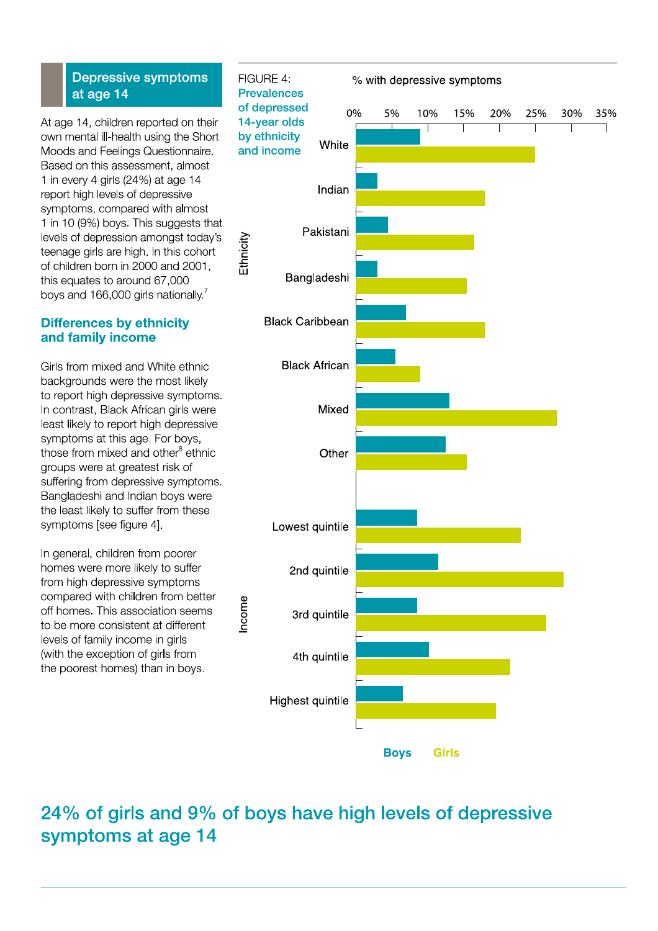#### **Depressive symptoms** at age 14

At age 14, children reported on their own mental ill-health using the Short Moods and Feelings Questionnaire. Based on this assessment, almost 1 in every 4 girls  $(24%)$  at age 14 report high levels of depressive symptoms, compared with almost 1 in 10 (9%) boys. This suggests that levels of depression amongst today's teenage girls are high. In this cohort of children born in 2000 and 2001, this equates to around 67,000 boys and 166,000 girls nationally.<sup>7</sup>

#### **Differences by ethnicity** and family income

Girls from mixed and White ethnic backgrounds were the most likely to report high depressive symptoms. In contrast, Black African girls were least likely to report high depressive symptoms at this age. For boys, those from mixed and other<sup>8</sup> ethnic groups were at greatest risk of suffering from depressive symptoms. Bangladeshi and Indian boys were the least likely to suffer from these symptoms [see figure 4].

In general, children from poorer homes were more likely to suffer from high depressive symptoms compared with children from better off homes. This association seems to be more consistent at different levels of family income in girls (with the exception of girls from the poorest homes) than in boys.



## 24% of girls and 9% of boys have high levels of depressive symptoms at age 14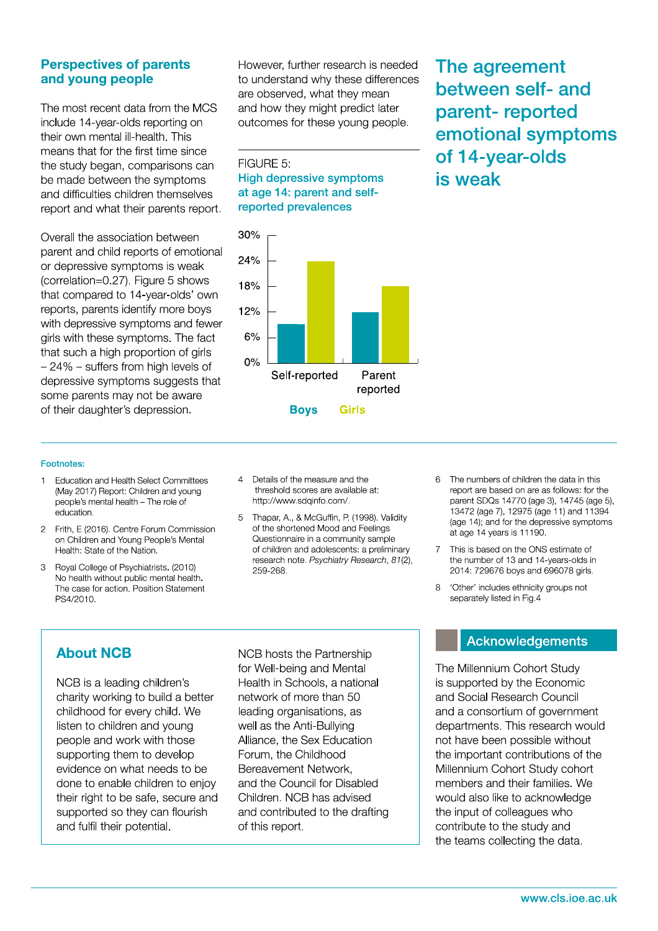#### **Perspectives of parents** and young people

The most recent data from the MCS include 14-year-olds reporting on their own mental ill-health. This means that for the first time since the study began, comparisons can be made between the symptoms and difficulties children themselves report and what their parents report.

Overall the association between parent and child reports of emotional or depressive symptoms is weak (correlation=0.27). Figure 5 shows that compared to 14-year-olds' own reports, parents identify more boys with depressive symptoms and fewer girls with these symptoms. The fact that such a high proportion of girls  $-24\%$  - suffers from high levels of depressive symptoms suggests that some parents may not be aware of their daughter's depression.

However, further research is needed to understand why these differences are observed, what they mean and how they might predict later outcomes for these young people.

FIGURE 5: **High depressive symptoms** at age 14: parent and selfreported prevalences



The agreement between self- and parent-reported emotional symptoms of 14-year-olds is weak

#### Footnotes:

- **Education and Health Select Committees**  $\mathbf{1}$ (May 2017) Report: Children and young people's mental health - The role of education.
- 2 Frith, E (2016). Centre Forum Commission on Children and Young People's Mental Health: State of the Nation.
- $\mathcal{R}$ Royal College of Psychiatrists. (2010) No health without public mental health. The case for action. Position Statement PS4/2010.
- 4 Details of the measure and the threshold scores are available at: http://www.sdqinfo.com/.
- 5 Thapar, A., & McGuffin, P. (1998). Validity of the shortened Mood and Feelings Questionnaire in a community sample of children and adolescents: a preliminary research note. Psychiatry Research, 81(2), 259-268.
- 6 The numbers of children the data in this report are based on are as follows: for the parent SDQs 14770 (age 3), 14745 (age 5), 13472 (age 7), 12975 (age 11) and 11394 (age 14); and for the depressive symptoms at age 14 years is 11190.
- 7 This is based on the ONS estimate of the number of 13 and 14-years-olds in 2014: 729676 boys and 696078 girls.
- 'Other' includes ethnicity groups not  $\beta$ separately listed in Fig.4

### **About NCB**

NCB is a leading children's charity working to build a better childhood for every child. We listen to children and young people and work with those supporting them to develop evidence on what needs to be done to enable children to enjoy their right to be safe, secure and supported so they can flourish and fulfil their potential.

NCB hosts the Partnership for Well-being and Mental Health in Schools, a national network of more than 50 leading organisations, as well as the Anti-Bullying Alliance, the Sex Education Forum, the Childhood Bereavement Network, and the Council for Disabled Children. NCB has advised and contributed to the drafting of this report.

#### **Acknowledgements**

The Millennium Cohort Study is supported by the Economic and Social Research Council and a consortium of government departments. This research would not have been possible without the important contributions of the Millennium Cohort Study cohort members and their families. We would also like to acknowledge the input of colleagues who contribute to the study and the teams collecting the data.